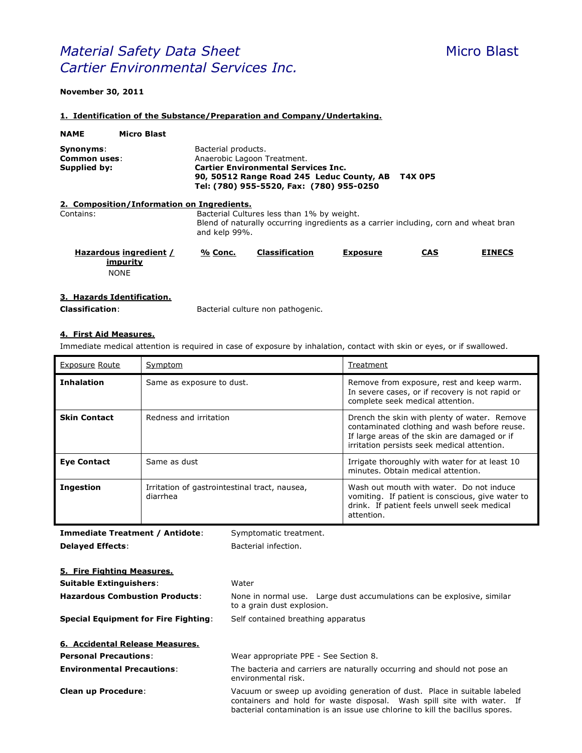# **Material Safety Data Sheet** Micro Blast *Cartier Environmental Services Inc.*

#### **November 30, 2011**

#### **1. Identification of the Substance/Preparation and Company/Undertaking.**

| <b>NAME</b>                                             | <b>Micro Blast</b>                                |                     |                                                                                                                                                                    |                 |                |               |
|---------------------------------------------------------|---------------------------------------------------|---------------------|--------------------------------------------------------------------------------------------------------------------------------------------------------------------|-----------------|----------------|---------------|
| Synonyms:<br><b>Common uses:</b><br><b>Supplied by:</b> |                                                   | Bacterial products. | Anaerobic Lagoon Treatment.<br><b>Cartier Environmental Services Inc.</b><br>90, 50512 Range Road 245 Leduc County, AB<br>Tel: (780) 955-5520, Fax: (780) 955-0250 |                 | <b>T4X 0P5</b> |               |
|                                                         | 2. Composition/Information on Ingredients.        |                     |                                                                                                                                                                    |                 |                |               |
| Contains:                                               |                                                   | and kelp 99%.       | Bacterial Cultures less than 1% by weight.<br>Blend of naturally occurring ingredients as a carrier including, corn and wheat bran                                 |                 |                |               |
|                                                         | Hazardous ingredient /<br>impurity<br><b>NONE</b> | % Conc.             | <b>Classification</b>                                                                                                                                              | <b>Exposure</b> | <b>CAS</b>     | <b>EINECS</b> |

#### **3. Hazards Identification.**

**Classification**: Bacterial culture non pathogenic.

# **4. First Aid Measures.**

Immediate medical attention is required in case of exposure by inhalation, contact with skin or eyes, or if swallowed.

| <b>Exposure Route</b> | Symptom                                                   | Treatment                                                                                                                                                                                   |
|-----------------------|-----------------------------------------------------------|---------------------------------------------------------------------------------------------------------------------------------------------------------------------------------------------|
| <b>Inhalation</b>     | Same as exposure to dust.                                 | Remove from exposure, rest and keep warm.<br>In severe cases, or if recovery is not rapid or<br>complete seek medical attention.                                                            |
| <b>Skin Contact</b>   | Redness and irritation                                    | Drench the skin with plenty of water. Remove<br>contaminated clothing and wash before reuse.<br>If large areas of the skin are damaged or if<br>irritation persists seek medical attention. |
| <b>Eye Contact</b>    | Same as dust                                              | Irrigate thoroughly with water for at least 10<br>minutes. Obtain medical attention.                                                                                                        |
| <b>Ingestion</b>      | Irritation of gastrointestinal tract, nausea,<br>diarrhea | Wash out mouth with water. Do not induce<br>vomiting. If patient is conscious, give water to<br>drink. If patient feels unwell seek medical<br>attention.                                   |

**Immediate Treatment / Antidote**: Symptomatic treatment. **Delayed Effects:** Bacterial infection. **5. Fire Fighting Measures. Suitable Extinguishers**: Water **Hazardous Combustion Products**: None in normal use. Large dust accumulations can be explosive, similar to a grain dust explosion. **Special Equipment for Fire Fighting**: Self contained breathing apparatus **6. Accidental Release Measures. Personal Precautions**: Wear appropriate PPE - See Section 8. **Environmental Precautions:** The bacteria and carriers are naturally occurring and should not pose an environmental risk. **Clean up Procedure**: Vacuum or sweep up avoiding generation of dust. Place in suitable labeled containers and hold for waste disposal. Wash spill site with water. If

bacterial contamination is an issue use chlorine to kill the bacillus spores.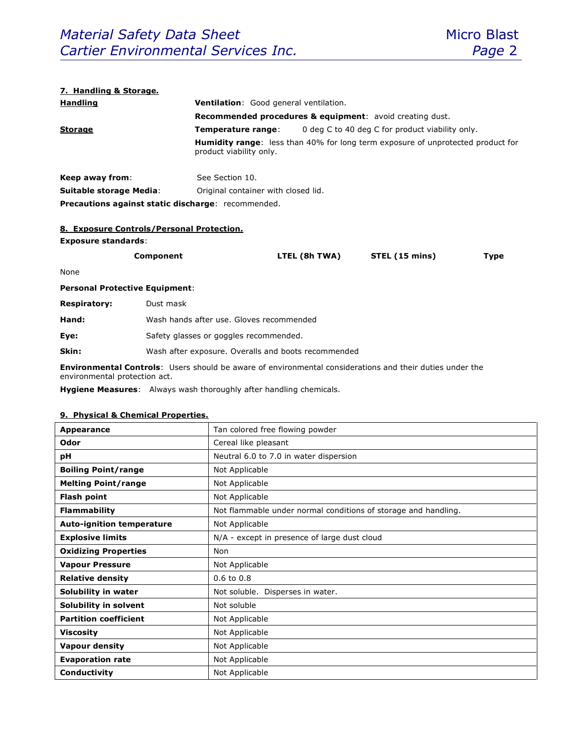#### **7. Handling & Storage.**

| <b>Handling</b>                                                     | <b>Ventilation:</b> Good general ventilation. |                                                                                        |  |
|---------------------------------------------------------------------|-----------------------------------------------|----------------------------------------------------------------------------------------|--|
| <b>Recommended procedures &amp; equipment:</b> avoid creating dust. |                                               |                                                                                        |  |
| <b>Storage</b>                                                      | Temperature range:                            | 0 deg C to 40 deg C for product viability only.                                        |  |
|                                                                     | product viability only.                       | <b>Humidity range:</b> less than 40% for long term exposure of unprotected product for |  |
| Keep away from:                                                     | See Section 10.                               |                                                                                        |  |
| Suitable storage Media:                                             | Original container with closed lid.           |                                                                                        |  |
| Precautions against static discharge: recommended.                  |                                               |                                                                                        |  |

#### **8. Exposure Controls/Personal Protection.**

#### **Exposure standards**:

| Component | LTEL (8h TWA) | STEL (15 mins) | Type |
|-----------|---------------|----------------|------|
|           |               |                |      |

None

## **Personal Protective Equipment**:

| Hand: | Wash hands after use. Gloves recommended |  |
|-------|------------------------------------------|--|
|-------|------------------------------------------|--|

**Eye:** Safety glasses or goggles recommended.

**Skin:** Wash after exposure. Overalls and boots recommended

**Environmental Controls**: Users should be aware of environmental considerations and their duties under the environmental protection act.

**Hygiene Measures**: Always wash thoroughly after handling chemicals.

#### **9. Physical & Chemical Properties.**

| Appearance                       | Tan colored free flowing powder                                |
|----------------------------------|----------------------------------------------------------------|
| Odor                             | Cereal like pleasant                                           |
| рH                               | Neutral 6.0 to 7.0 in water dispersion                         |
| <b>Boiling Point/range</b>       | Not Applicable                                                 |
| <b>Melting Point/range</b>       | Not Applicable                                                 |
| <b>Flash point</b>               | Not Applicable                                                 |
| <b>Flammability</b>              | Not flammable under normal conditions of storage and handling. |
| <b>Auto-ignition temperature</b> | Not Applicable                                                 |
| <b>Explosive limits</b>          | N/A - except in presence of large dust cloud                   |
| <b>Oxidizing Properties</b>      | Non                                                            |
| <b>Vapour Pressure</b>           | Not Applicable                                                 |
| <b>Relative density</b>          | $0.6$ to $0.8$                                                 |
| Solubility in water              | Not soluble. Disperses in water.                               |
| Solubility in solvent            | Not soluble                                                    |
| <b>Partition coefficient</b>     | Not Applicable                                                 |
| <b>Viscosity</b>                 | Not Applicable                                                 |
| <b>Vapour density</b>            | Not Applicable                                                 |
| <b>Evaporation rate</b>          | Not Applicable                                                 |
| Conductivity                     | Not Applicable                                                 |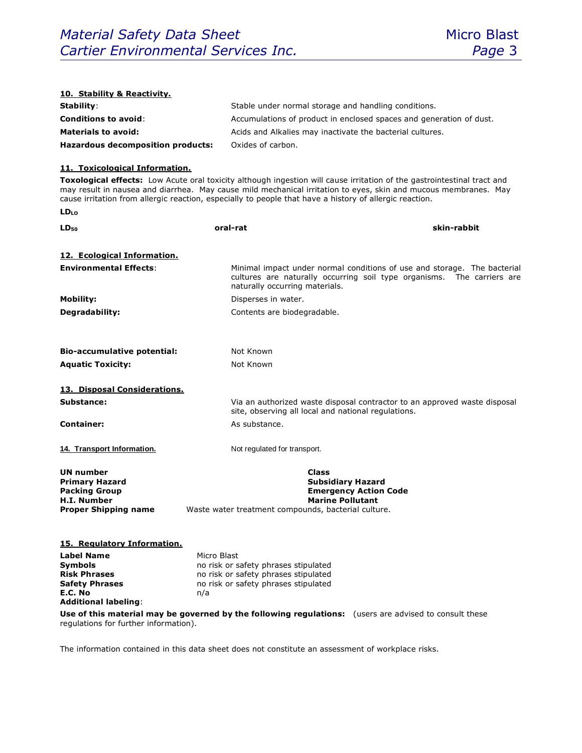| 10. Stability & Reactivity.                                                                                                                                                 |                                                                                                                                                                                                                                                                                                                                                       |  |
|-----------------------------------------------------------------------------------------------------------------------------------------------------------------------------|-------------------------------------------------------------------------------------------------------------------------------------------------------------------------------------------------------------------------------------------------------------------------------------------------------------------------------------------------------|--|
| Stability:                                                                                                                                                                  | Stable under normal storage and handling conditions.                                                                                                                                                                                                                                                                                                  |  |
| <b>Conditions to avoid:</b>                                                                                                                                                 | Accumulations of product in enclosed spaces and generation of dust.                                                                                                                                                                                                                                                                                   |  |
| <b>Materials to avoid:</b>                                                                                                                                                  | Acids and Alkalies may inactivate the bacterial cultures.                                                                                                                                                                                                                                                                                             |  |
| <b>Hazardous decomposition products:</b>                                                                                                                                    | Oxides of carbon.                                                                                                                                                                                                                                                                                                                                     |  |
| 11. Toxicological Information.                                                                                                                                              |                                                                                                                                                                                                                                                                                                                                                       |  |
|                                                                                                                                                                             | Toxological effects: Low Acute oral toxicity although ingestion will cause irritation of the gastrointestinal tract and<br>may result in nausea and diarrhea. May cause mild mechanical irritation to eyes, skin and mucous membranes. May<br>cause irritation from allergic reaction, especially to people that have a history of allergic reaction. |  |
| <b>LD</b> <sub>LO</sub>                                                                                                                                                     |                                                                                                                                                                                                                                                                                                                                                       |  |
| $LD_{50}$                                                                                                                                                                   | skin-rabbit<br>oral-rat                                                                                                                                                                                                                                                                                                                               |  |
| 12. Ecological Information.                                                                                                                                                 |                                                                                                                                                                                                                                                                                                                                                       |  |
| <b>Environmental Effects:</b>                                                                                                                                               | Minimal impact under normal conditions of use and storage. The bacterial<br>cultures are naturally occurring soil type organisms. The carriers are<br>naturally occurring materials.                                                                                                                                                                  |  |
| <b>Mobility:</b>                                                                                                                                                            | Disperses in water.                                                                                                                                                                                                                                                                                                                                   |  |
| Degradability:                                                                                                                                                              | Contents are biodegradable.                                                                                                                                                                                                                                                                                                                           |  |
|                                                                                                                                                                             |                                                                                                                                                                                                                                                                                                                                                       |  |
| <b>Bio-accumulative potential:</b>                                                                                                                                          | Not Known                                                                                                                                                                                                                                                                                                                                             |  |
| <b>Aquatic Toxicity:</b>                                                                                                                                                    | Not Known                                                                                                                                                                                                                                                                                                                                             |  |
| 13. Disposal Considerations.                                                                                                                                                |                                                                                                                                                                                                                                                                                                                                                       |  |
| Substance:                                                                                                                                                                  | Via an authorized waste disposal contractor to an approved waste disposal<br>site, observing all local and national regulations.                                                                                                                                                                                                                      |  |
| <b>Container:</b>                                                                                                                                                           | As substance.                                                                                                                                                                                                                                                                                                                                         |  |
| 14. Transport Information.                                                                                                                                                  | Not regulated for transport.                                                                                                                                                                                                                                                                                                                          |  |
|                                                                                                                                                                             |                                                                                                                                                                                                                                                                                                                                                       |  |
| <b>UN number</b><br><b>Primary Hazard</b><br><b>Packing Group</b><br><b>H.I. Number</b><br><b>Proper Shipping name</b>                                                      | Class<br><b>Subsidiary Hazard</b><br><b>Emergency Action Code</b><br><b>Marine Pollutant</b><br>Waste water treatment compounds, bacterial culture.                                                                                                                                                                                                   |  |
| 15. Regulatory Information.<br><b>Label Name</b><br>Micro Blast<br>Symbols<br><b>Risk Phrases</b><br><b>Safety Phrases</b><br>E.C. No<br>n/a<br><b>Additional labeling:</b> | no risk or safety phrases stipulated<br>no risk or safety phrases stipulated<br>no risk or safety phrases stipulated<br>Use of this material may be governed by the following regulations: (users are advised to consult these                                                                                                                        |  |
| regulations for further information).                                                                                                                                       |                                                                                                                                                                                                                                                                                                                                                       |  |

The information contained in this data sheet does not constitute an assessment of workplace risks.